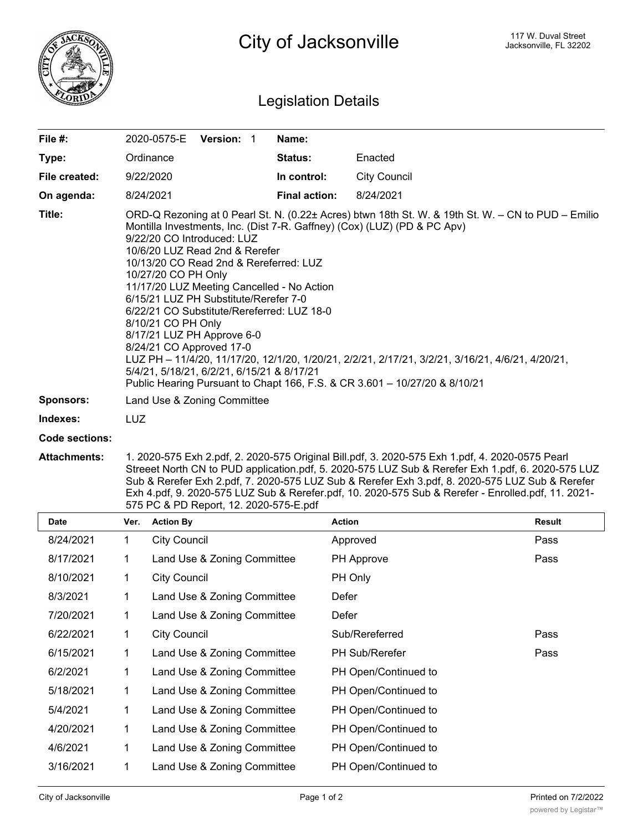

## Legislation Details

| File $#$ :       | 2020-0575-E                                                                                                                                                                                                                                                                                                                                                                                                                                                                  | Version: 1 |  | Name:                |                                                                                                                                                                                                                                                                                      |
|------------------|------------------------------------------------------------------------------------------------------------------------------------------------------------------------------------------------------------------------------------------------------------------------------------------------------------------------------------------------------------------------------------------------------------------------------------------------------------------------------|------------|--|----------------------|--------------------------------------------------------------------------------------------------------------------------------------------------------------------------------------------------------------------------------------------------------------------------------------|
| Type:            | Ordinance                                                                                                                                                                                                                                                                                                                                                                                                                                                                    |            |  | <b>Status:</b>       | Enacted                                                                                                                                                                                                                                                                              |
| File created:    | 9/22/2020                                                                                                                                                                                                                                                                                                                                                                                                                                                                    |            |  | In control:          | <b>City Council</b>                                                                                                                                                                                                                                                                  |
| On agenda:       | 8/24/2021                                                                                                                                                                                                                                                                                                                                                                                                                                                                    |            |  | <b>Final action:</b> | 8/24/2021                                                                                                                                                                                                                                                                            |
| Title:           | Montilla Investments, Inc. (Dist 7-R. Gaffney) (Cox) (LUZ) (PD & PC Apv)<br>9/22/20 CO Introduced: LUZ<br>10/6/20 LUZ Read 2nd & Rerefer<br>10/13/20 CO Read 2nd & Rereferred: LUZ<br>10/27/20 CO PH Only<br>11/17/20 LUZ Meeting Cancelled - No Action<br>6/15/21 LUZ PH Substitute/Rerefer 7-0<br>6/22/21 CO Substitute/Rereferred: LUZ 18-0<br>8/10/21 CO PH Only<br>8/17/21 LUZ PH Approve 6-0<br>8/24/21 CO Approved 17-0<br>5/4/21, 5/18/21, 6/2/21, 6/15/21 & 8/17/21 |            |  |                      | ORD-Q Rezoning at 0 Pearl St. N. (0.22± Acres) btwn 18th St. W. & 19th St. W. – CN to PUD – Emilio<br>LUZ PH - 11/4/20, 11/17/20, 12/1/20, 1/20/21, 2/2/21, 2/17/21, 3/2/21, 3/16/21, 4/6/21, 4/20/21,<br>Public Hearing Pursuant to Chapt 166, F.S. & CR 3.601 - 10/27/20 & 8/10/21 |
| <b>Sponsors:</b> | Land Use & Zoning Committee                                                                                                                                                                                                                                                                                                                                                                                                                                                  |            |  |                      |                                                                                                                                                                                                                                                                                      |
| Indexes:         | <b>LUZ</b>                                                                                                                                                                                                                                                                                                                                                                                                                                                                   |            |  |                      |                                                                                                                                                                                                                                                                                      |
| Code sections:   |                                                                                                                                                                                                                                                                                                                                                                                                                                                                              |            |  |                      |                                                                                                                                                                                                                                                                                      |

**Attachments:** 1. 2020-575 Exh 2.pdf, 2. 2020-575 Original Bill.pdf, 3. 2020-575 Exh 1.pdf, 4. 2020-0575 Pearl Streeet North CN to PUD application.pdf, 5. 2020-575 LUZ Sub & Rerefer Exh 1.pdf, 6. 2020-575 LUZ Sub & Rerefer Exh 2.pdf, 7. 2020-575 LUZ Sub & Rerefer Exh 3.pdf, 8. 2020-575 LUZ Sub & Rerefer Exh 4.pdf, 9. 2020-575 LUZ Sub & Rerefer.pdf, 10. 2020-575 Sub & Rerefer - Enrolled.pdf, 11. 2021- 575 PC & PD Report, 12. 2020-575-E.pdf

| Date      | Ver. | <b>Action By</b>            | Action                | <b>Result</b> |
|-----------|------|-----------------------------|-----------------------|---------------|
| 8/24/2021 | 1    | <b>City Council</b>         | Approved              | Pass          |
| 8/17/2021 | 1    | Land Use & Zoning Committee | PH Approve            | Pass          |
| 8/10/2021 | 1    | <b>City Council</b>         | PH Only               |               |
| 8/3/2021  | 1    | Land Use & Zoning Committee | Defer                 |               |
| 7/20/2021 | 1    | Land Use & Zoning Committee | Defer                 |               |
| 6/22/2021 | 1    | <b>City Council</b>         | Sub/Rereferred        | Pass          |
| 6/15/2021 | 1    | Land Use & Zoning Committee | <b>PH Sub/Rerefer</b> | Pass          |
| 6/2/2021  | 1    | Land Use & Zoning Committee | PH Open/Continued to  |               |
| 5/18/2021 | 1    | Land Use & Zoning Committee | PH Open/Continued to  |               |
| 5/4/2021  | 1    | Land Use & Zoning Committee | PH Open/Continued to  |               |
| 4/20/2021 | 1    | Land Use & Zoning Committee | PH Open/Continued to  |               |
| 4/6/2021  | 1    | Land Use & Zoning Committee | PH Open/Continued to  |               |
| 3/16/2021 | 1    | Land Use & Zoning Committee | PH Open/Continued to  |               |